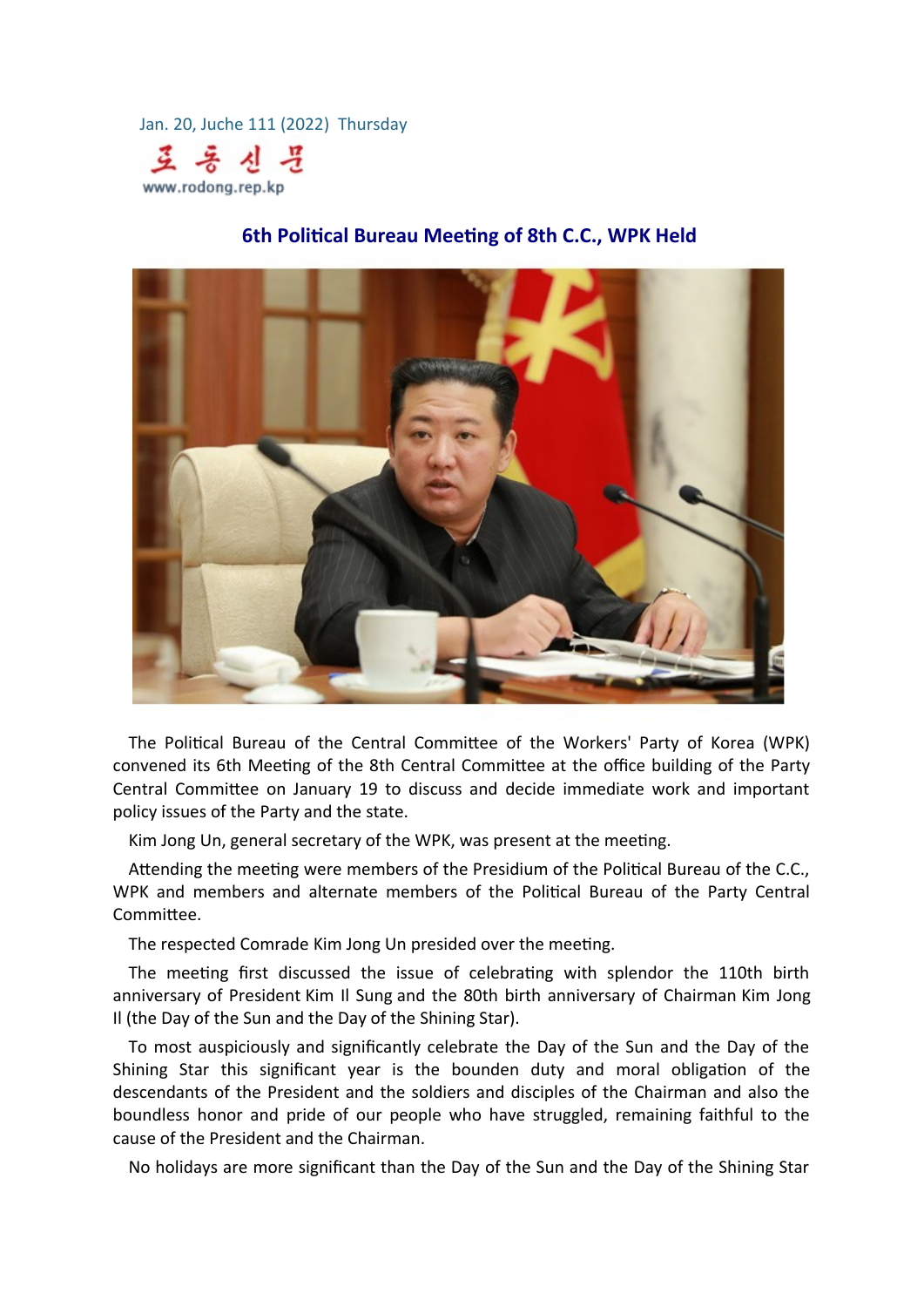Jan. 20, Juche 111 (2022) Thursday



## **6th Political Bureau Meeting of 8th C.C., WPK Held**



The Political Bureau of the Central Committee of the Workers' Party of Korea (WPK) convened its 6th Meeting of the 8th Central Committee at the office building of the Party Central Committee on January 19 to discuss and decide immediate work and important policy issues of the Party and the state.

Kim Jong Un, general secretary of the WPK, was present at the meeting.

Attending the meeting were members of the Presidium of the Political Bureau of the C.C., WPK and members and alternate members of the Political Bureau of the Party Central Committee.

The respected Comrade Kim Jong Un presided over the meeting.

The meeting first discussed the issue of celebrating with splendor the 110th birth anniversary of President Kim Il Sung and the 80th birth anniversary of Chairman Kim Jong Il (the Day of the Sun and the Day of the Shining Star).

To most auspiciously and significantly celebrate the Day of the Sun and the Day of the Shining Star this significant year is the bounden duty and moral obligation of the descendants of the President and the soldiers and disciples of the Chairman and also the boundless honor and pride of our people who have struggled, remaining faithful to the cause of the President and the Chairman.

No holidays are more significant than the Day of the Sun and the Day of the Shining Star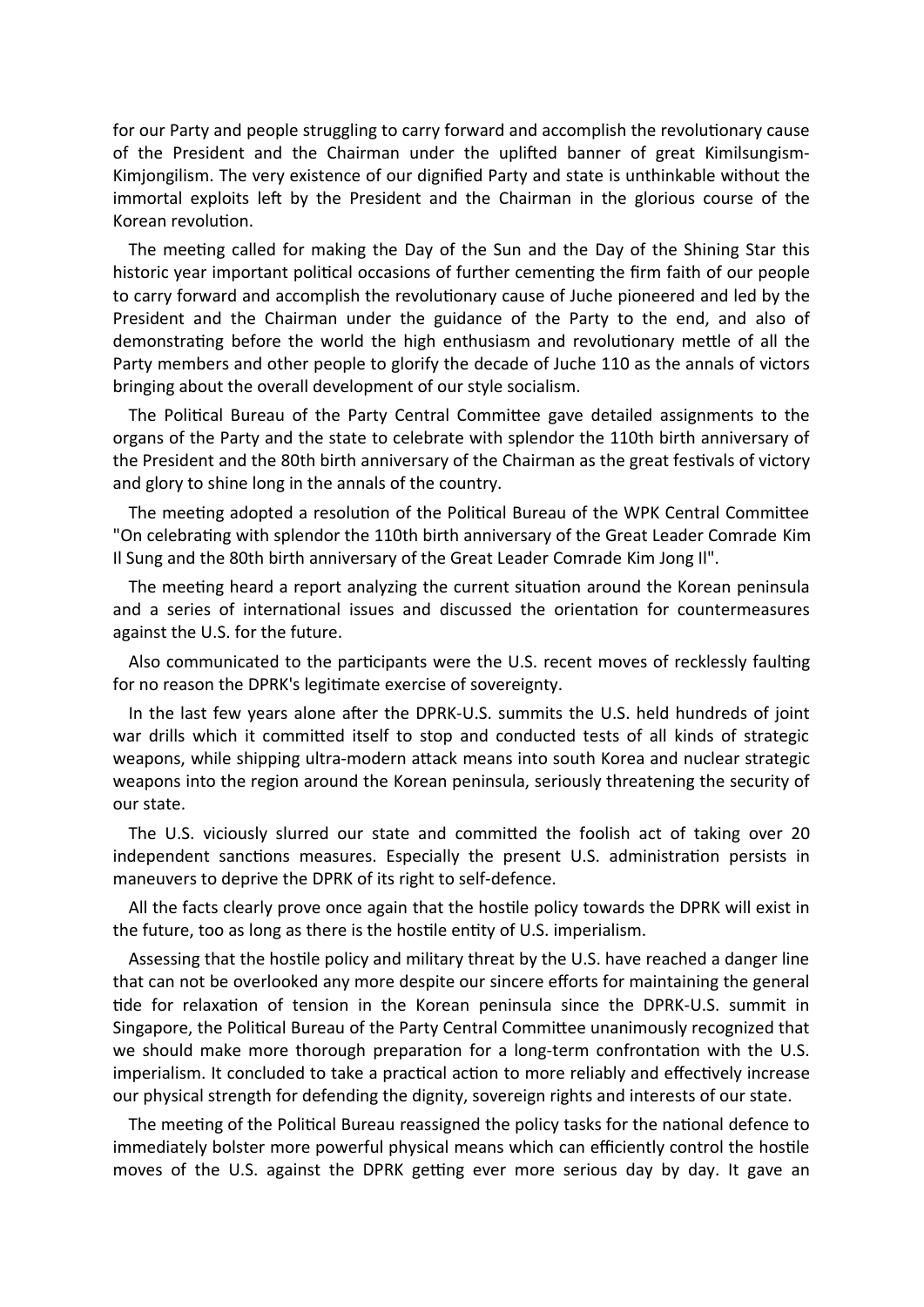for our Party and people struggling to carry forward and accomplish the revolutionary cause of the President and the Chairman under the uplifted banner of great Kimilsungism-Kimjongilism. The very existence of our dignified Party and state is unthinkable without the immortal exploits left by the President and the Chairman in the glorious course of the Korean revolution.

The meeting called for making the Day of the Sun and the Day of the Shining Star this historic year important political occasions of further cementing the firm faith of our people to carry forward and accomplish the revolutionary cause of Juche pioneered and led by the President and the Chairman under the guidance of the Party to the end, and also of demonstrating before the world the high enthusiasm and revolutionary mettle of all the Party members and other people to glorify the decade of Juche 110 as the annals of victors bringing about the overall development of our style socialism.

The Political Bureau of the Party Central Committee gave detailed assignments to the organs of the Party and the state to celebrate with splendor the 110th birth anniversary of the President and the 80th birth anniversary of the Chairman as the great festivals of victory and glory to shine long in the annals of the country.

The meeting adopted a resolution of the Political Bureau of the WPK Central Committee "On celebrating with splendor the 110th birth anniversary of the Great Leader Comrade Kim Il Sung and the 80th birth anniversary of the Great Leader Comrade Kim Jong Il".

The meeting heard a report analyzing the current situation around the Korean peninsula and a series of international issues and discussed the orientation for countermeasures against the U.S. for the future.

Also communicated to the participants were the U.S. recent moves of recklessly faulting for no reason the DPRK's legitimate exercise of sovereignty.

In the last few years alone after the DPRK-U.S. summits the U.S. held hundreds of joint war drills which it committed itself to stop and conducted tests of all kinds of strategic weapons, while shipping ultra-modern attack means into south Korea and nuclear strategic weapons into the region around the Korean peninsula, seriously threatening the security of our state.

The U.S. viciously slurred our state and committed the foolish act of taking over 20 independent sanctions measures. Especially the present U.S. administration persists in maneuvers to deprive the DPRK of its right to self-defence.

All the facts clearly prove once again that the hostile policy towards the DPRK will exist in the future, too as long as there is the hostile entity of U.S. imperialism.

Assessing that the hostile policy and military threat by the U.S. have reached a danger line that can not be overlooked any more despite our sincere efforts for maintaining the general tide for relaxation of tension in the Korean peninsula since the DPRK-U.S. summit in Singapore, the Political Bureau of the Party Central Committee unanimously recognized that we should make more thorough preparation for a long-term confrontation with the U.S. imperialism. It concluded to take a practical action to more reliably and effectively increase our physical strength for defending the dignity, sovereign rights and interests of our state.

The meeting of the Political Bureau reassigned the policy tasks for the national defence to immediately bolster more powerful physical means which can efficiently control the hostile moves of the U.S. against the DPRK getting ever more serious day by day. It gave an